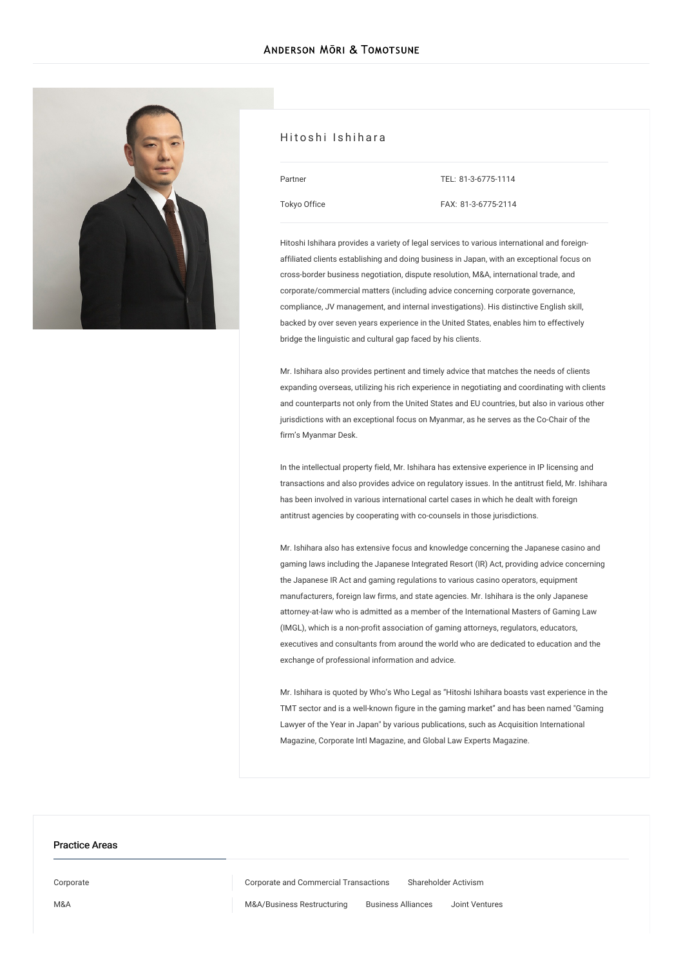

### Hitoshi Ishihara

| Partner      |  |
|--------------|--|
| Tokyo Office |  |

TEL: [81-3-6775-1114](tel:81-3-6775-1114) FAX: 81-3-6775-2114

Hitoshi Ishihara provides a variety of legal services to various international and foreignaffiliated clients establishing and doing business in Japan, with an exceptional focus on cross-border business negotiation, dispute resolution, M&A, international trade, and corporate/commercial matters (including advice concerning corporate governance, compliance, JV management, and internal investigations). His distinctive English skill, backed by over seven years experience in the United States, enables him to effectively bridge the linguistic and cultural gap faced by his clients.

Mr. Ishihara also provides pertinent and timely advice that matches the needs of clients expanding overseas, utilizing his rich experience in negotiating and coordinating with clients and counterparts not only from the United States and EU countries, but also in various other jurisdictions with an exceptional focus on Myanmar, as he serves as the Co-Chair of the firm's Myanmar Desk.

In the intellectual property field, Mr. Ishihara has extensive experience in IP licensing and transactions and also provides advice on regulatory issues. In the antitrust field, Mr. Ishihara has been involved in various international cartel cases in which he dealt with foreign antitrust agencies by cooperating with co-counsels in those jurisdictions.

Mr. Ishihara also has extensive focus and knowledge concerning the Japanese casino and gaming laws including the Japanese Integrated Resort (IR) Act, providing advice concerning the Japanese IR Act and gaming regulations to various casino operators, equipment manufacturers, foreign law firms, and state agencies. Mr. Ishihara is the only Japanese attorney-at-law who is admitted as a member of the International Masters of Gaming Law (IMGL), which is a non-profit association of gaming attorneys, regulators, educators, executives and consultants from around the world who are dedicated to education and the exchange of professional information and advice.

Mr. Ishihara is quoted by Who's Who Legal as "Hitoshi Ishihara boasts vast experience in the TMT sector and is a well-known figure in the gaming market" and has been named "Gaming Lawyer of the Year in Japan" by various publications, such as Acquisition International Magazine, Corporate Intl Magazine, and Global Law Experts Magazine.

#### Practice Areas

[Corporate](/en/services/practices/corporate) Corporate and Commercial [Transactions](/en/services/practices/corporate/corporate-and-commercial-transactions) [Shareholder](/en/services/practices/corporate/shareholder-activism) Activism

[M&A](/en/services/practices/mergers-and-acquisitions) [M&A/Business](/en/services/practices/mergers-and-acquisitions/mergers-and-acquisitions_business-restructuring) Restructuring [Business](/en/services/practices/mergers-and-acquisitions/business-alliances) Alliances Joint [Ventures](/en/services/practices/mergers-and-acquisitions/joint-ventures)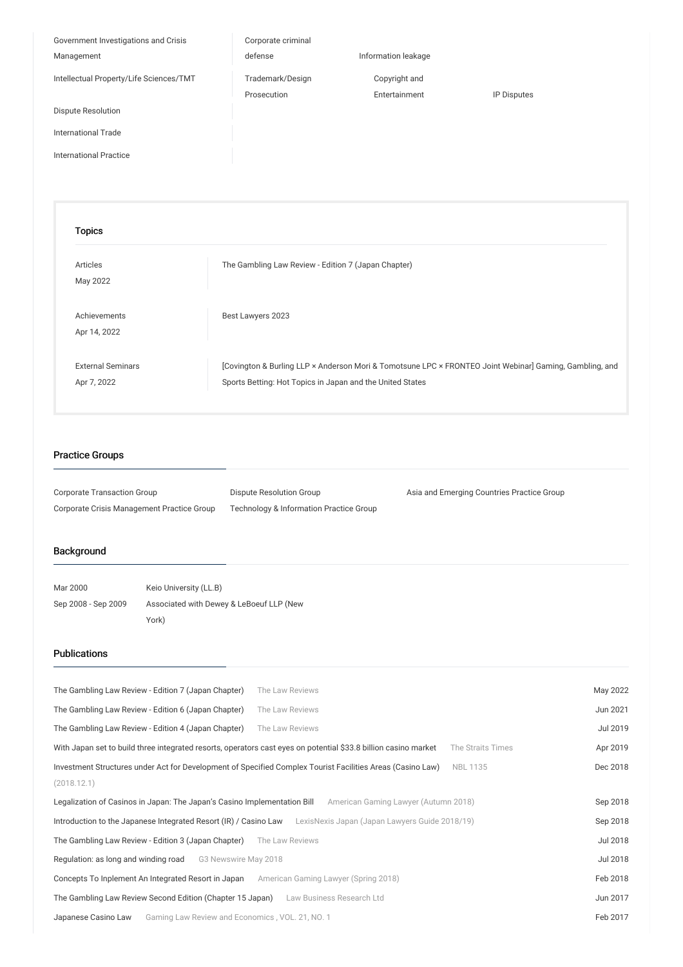| Government Investigations and Crisis    | Corporate criminal |                     |             |
|-----------------------------------------|--------------------|---------------------|-------------|
| Management                              | defense            | Information leakage |             |
| Intellectual Property/Life Sciences/TMT | Trademark/Design   | Copyright and       |             |
|                                         | Prosecution        | Entertainment       | IP Disputes |
| Dispute Resolution                      |                    |                     |             |
| <b>International Trade</b>              |                    |                     |             |
| <b>International Practice</b>           |                    |                     |             |
|                                         |                    |                     |             |
|                                         |                    |                     |             |
| <b>Topics</b>                           |                    |                     |             |
|                                         |                    |                     |             |

The [Gambling](/en/publications/detail/publication_0025009_en_001) Law Review - Edition 7 (Japan Chapter)

[Covington & Burling LLP × Anderson Mori & [Tomotsune](/en/seminars/detail/seminar_0024675_en_001) LPC × FRONTEO Joint Webinar] Gaming, Gambling, and

Best [Lawyers](/en/news/detail/news_0024840_en_001) 2023

| <b>Practice Groups</b> |  |
|------------------------|--|
|                        |  |

[Articles](/en/publications/articles/) May 2022

[Achievements](/en/news/achievements/) Apr 14, 2022

External [Seminars](/en/seminars/external-seminars/) Apr 7, 2022

| Corporate Transaction Group                | Dispute Resolution Group                           | Asia and Emerging Countries Practice Group |
|--------------------------------------------|----------------------------------------------------|--------------------------------------------|
| Corporate Crisis Management Practice Group | <b>Technology &amp; Information Practice Group</b> |                                            |

Sports Betting: Hot Topics in Japan and the United States

## Background

| Mar 2000            | Keio University (LL.B)                   |
|---------------------|------------------------------------------|
| Sep 2008 - Sep 2009 | Associated with Dewey & LeBoeuf LLP (New |
|                     | York)                                    |

## Publications

| The Gambling Law Review - Edition 7 (Japan Chapter)                                                             | The Law Reviews                                                                                                 | May 2022 |
|-----------------------------------------------------------------------------------------------------------------|-----------------------------------------------------------------------------------------------------------------|----------|
| The Gambling Law Review - Edition 6 (Japan Chapter)                                                             | The Law Reviews                                                                                                 | Jun 2021 |
| The Gambling Law Review - Edition 4 (Japan Chapter)                                                             | The Law Reviews                                                                                                 | Jul 2019 |
| With Japan set to build three integrated resorts, operators cast eyes on potential \$33.8 billion casino market | The Straits Times                                                                                               | Apr 2019 |
| Investment Structures under Act for Development of Specified Complex Tourist Facilities Areas (Casino Law)      | <b>NBL1135</b>                                                                                                  | Dec 2018 |
| (2018.12.1)                                                                                                     |                                                                                                                 |          |
| Legalization of Casinos in Japan: The Japan's Casino Implementation Bill                                        | American Gaming Lawyer (Autumn 2018)                                                                            | Sep 2018 |
|                                                                                                                 | Introduction to the Japanese Integrated Resort (IR) / Casino Law LexisNexis Japan (Japan Lawyers Guide 2018/19) | Sep 2018 |
| The Gambling Law Review - Edition 3 (Japan Chapter)                                                             | The Law Reviews                                                                                                 | Jul 2018 |
| Regulation: as long and winding road<br>G3 Newswire May 2018                                                    |                                                                                                                 | Jul 2018 |
| Concepts To Inplement An Integrated Resort in Japan                                                             | American Gaming Lawyer (Spring 2018)                                                                            | Feb 2018 |
| The Gambling Law Review Second Edition (Chapter 15 Japan)                                                       | Law Business Research Ltd                                                                                       | Jun 2017 |
| Gaming Law Review and Economics, VOL. 21, NO. 1<br>Japanese Casino Law                                          |                                                                                                                 | Feb 2017 |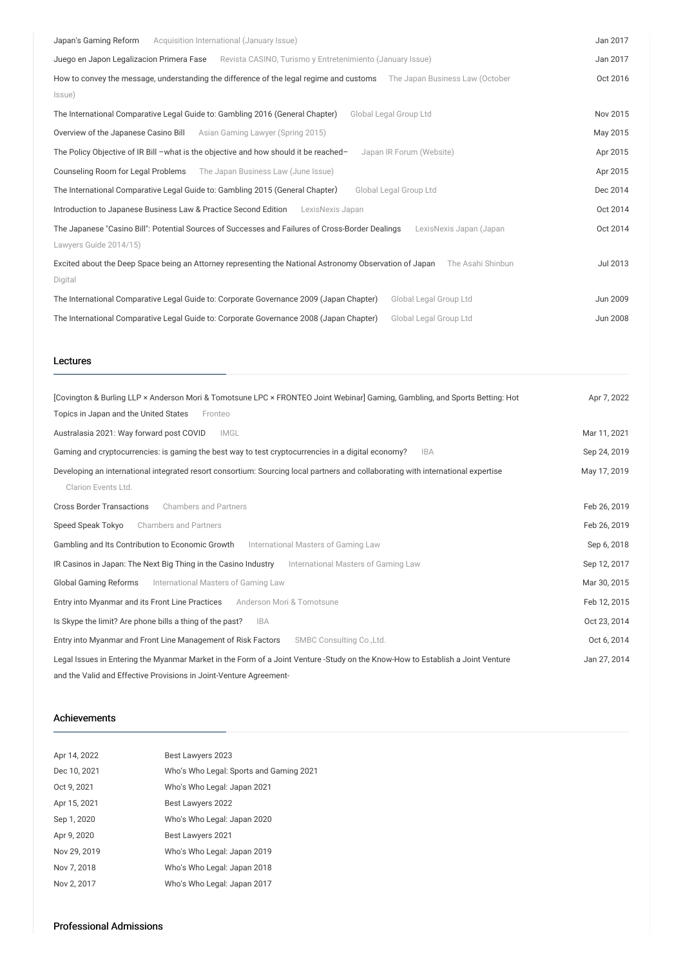| Acquisition International (January Issue)<br>Japan's Gaming Reform                                                                                    | Jan 2017 |
|-------------------------------------------------------------------------------------------------------------------------------------------------------|----------|
|                                                                                                                                                       |          |
| Juego en Japon Legalizacion Primera Fase<br>Revista CASINO, Turismo y Entretenimiento (January Issue)                                                 | Jan 2017 |
| How to convey the message, understanding the difference of the legal regime and customs<br>The Japan Business Law (October                            | Oct 2016 |
| Issue)                                                                                                                                                |          |
| Global Legal Group Ltd<br>The International Comparative Legal Guide to: Gambling 2016 (General Chapter)                                               | Nov 2015 |
| Overview of the Japanese Casino Bill<br>Asian Gaming Lawyer (Spring 2015)                                                                             | May 2015 |
| The Policy Objective of IR Bill -what is the objective and how should it be reached-<br>Japan IR Forum (Website)                                      | Apr 2015 |
| Counseling Room for Legal Problems<br>The Japan Business Law (June Issue)                                                                             | Apr 2015 |
| Global Legal Group Ltd<br>The International Comparative Legal Guide to: Gambling 2015 (General Chapter)                                               | Dec 2014 |
| Introduction to Japanese Business Law & Practice Second Edition<br>LexisNexis Japan                                                                   | Oct 2014 |
| The Japanese "Casino Bill": Potential Sources of Successes and Failures of Cross-Border Dealings<br>LexisNexis Japan (Japan<br>Lawyers Guide 2014/15) | Oct 2014 |
|                                                                                                                                                       |          |
| Excited about the Deep Space being an Attorney representing the National Astronomy Observation of Japan<br>The Asahi Shinbun                          | Jul 2013 |
| Digital                                                                                                                                               |          |
| The International Comparative Legal Guide to: Corporate Governance 2009 (Japan Chapter)<br>Global Legal Group Ltd                                     | Jun 2009 |
| The International Comparative Legal Guide to: Corporate Governance 2008 (Japan Chapter)<br>Global Legal Group Ltd                                     | Jun 2008 |

#### Lectures

| [Covington & Burling LLP × Anderson Mori & Tomotsune LPC × FRONTEO Joint Webinar] Gaming, Gambling, and Sports Betting: Hot<br>Topics in Japan and the United States<br>Fronteo | Apr 7, 2022  |
|---------------------------------------------------------------------------------------------------------------------------------------------------------------------------------|--------------|
| Australasia 2021: Way forward post COVID<br><b>IMGL</b>                                                                                                                         | Mar 11, 2021 |
| Gaming and cryptocurrencies: is gaming the best way to test cryptocurrencies in a digital economy?<br><b>IBA</b>                                                                | Sep 24, 2019 |
| Developing an international integrated resort consortium: Sourcing local partners and collaborating with international expertise<br>Clarion Events Ltd.                         | May 17, 2019 |
| <b>Cross Border Transactions</b><br><b>Chambers and Partners</b>                                                                                                                | Feb 26, 2019 |
| <b>Chambers and Partners</b><br>Speed Speak Tokyo                                                                                                                               | Feb 26, 2019 |
| Gambling and Its Contribution to Economic Growth<br>International Masters of Gaming Law                                                                                         | Sep 6, 2018  |
| IR Casinos in Japan: The Next Big Thing in the Casino Industry<br>International Masters of Gaming Law                                                                           | Sep 12, 2017 |
| Global Gaming Reforms<br>International Masters of Gaming Law                                                                                                                    | Mar 30, 2015 |
| Entry into Myanmar and its Front Line Practices<br>Anderson Mori & Tomotsune                                                                                                    | Feb 12, 2015 |
| Is Skype the limit? Are phone bills a thing of the past?<br><b>IBA</b>                                                                                                          | Oct 23, 2014 |
| Entry into Myanmar and Front Line Management of Risk Factors<br>SMBC Consulting Co., Ltd.                                                                                       | Oct 6, 2014  |
| Legal Issues in Entering the Myanmar Market in the Form of a Joint Venture -Study on the Know-How to Establish a Joint Venture                                                  | Jan 27, 2014 |
| and the Valid and Effective Provisions in Joint-Venture Agreement-                                                                                                              |              |

#### Achievements

| Apr 14, 2022 | Best Lawyers 2023                       |
|--------------|-----------------------------------------|
| Dec 10, 2021 | Who's Who Legal: Sports and Gaming 2021 |
| Oct 9, 2021  | Who's Who Legal: Japan 2021             |
| Apr 15, 2021 | Best Lawyers 2022                       |
| Sep 1, 2020  | Who's Who Legal: Japan 2020             |
| Apr 9, 2020  | Best Lawyers 2021                       |
| Nov 29, 2019 | Who's Who Legal: Japan 2019             |
| Nov 7, 2018  | Who's Who Legal: Japan 2018             |
| Nov 2, 2017  | Who's Who Legal: Japan 2017             |

# Professional Admissions